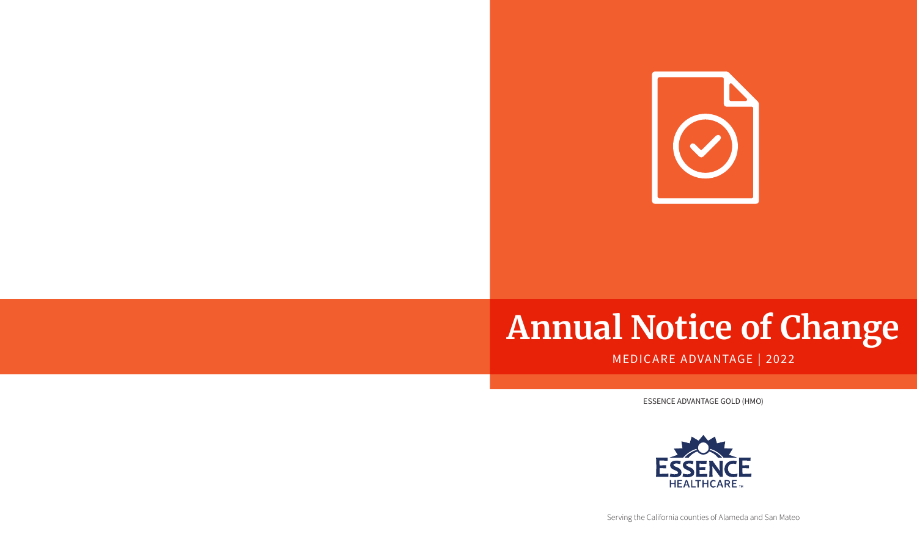

# **Annual Notice of Change**

# MEDICARE ADVANTAGE | 2022

ESSENCE ADVANTAGE GOLD (HMO)



Serving the California counties of Alameda and San Mateo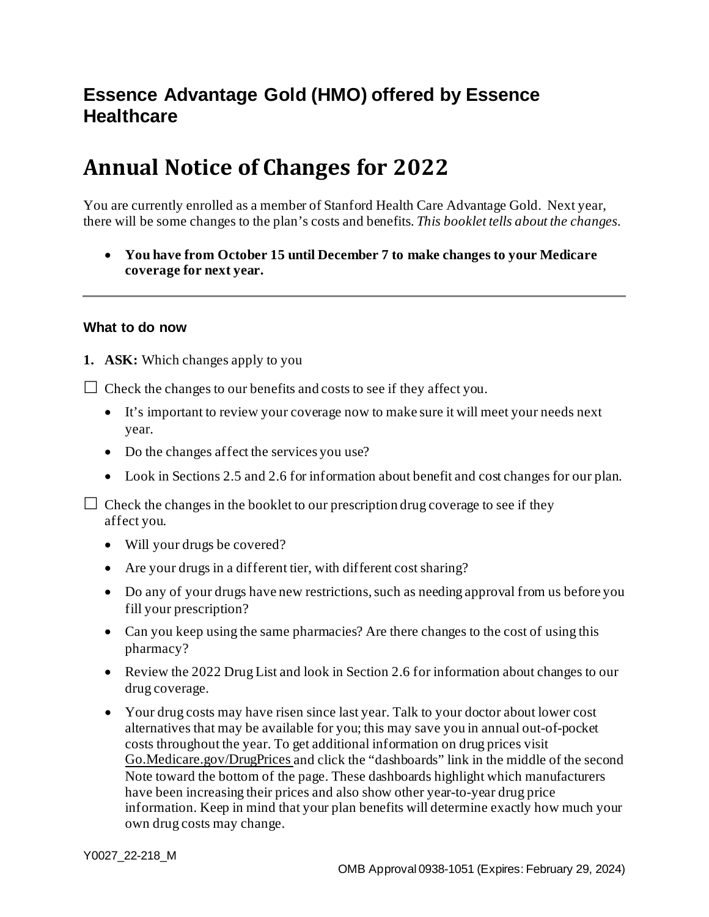# **Essence Advantage Gold (HMO) offered by Essence Healthcare**

# **Annual Notice of Changes for 2022**

You are currently enrolled as a member of Stanford Health Care Advantage Gold. Next year, there will be some changes to the plan's costs and benefits*. This booklet tells about the changes.*

• **You have from October 15 until December 7 to make changes to your Medicare coverage for next year.**

#### **What to do now**

**1. ASK:** Which changes apply to you

 $\Box$  Check the changes to our benefits and costs to see if they affect you.

- It's important to review your coverage now to make sure it will meet your needs next year.
- Do the changes affect the services you use?
- Look in Sections 2.5 and 2.6 for information about benefit and cost changes for our plan.

 $\Box$  Check the changes in the booklet to our prescription drug coverage to see if they affect you.

- Will your drugs be covered?
- Are your drugs in a different tier, with different cost sharing?
- Do any of your drugs have new restrictions, such as needing approval from us before you fill your prescription?
- Can you keep using the same pharmacies? Are there changes to the cost of using this pharmacy?
- Review the 2022 Drug List and look in Section 2.6 for information about changes to our drug coverage.
- Your drug costs may have risen since last year. Talk to your doctor about lower cost alternatives that may be available for you; this may save you in annual out-of-pocket costs throughout the year. To get additional information on drug prices visit [Go.Medicare.gov/DrugPrices](https://go.medicare.gov/drugprices) and click the "dashboards" link in the middle of the second Note toward the bottom of the page. These dashboards highlight which manufacturers have been increasing their prices and also show other year-to-year drug price information. Keep in mind that your plan benefits will determine exactly how much your own drug costs may change.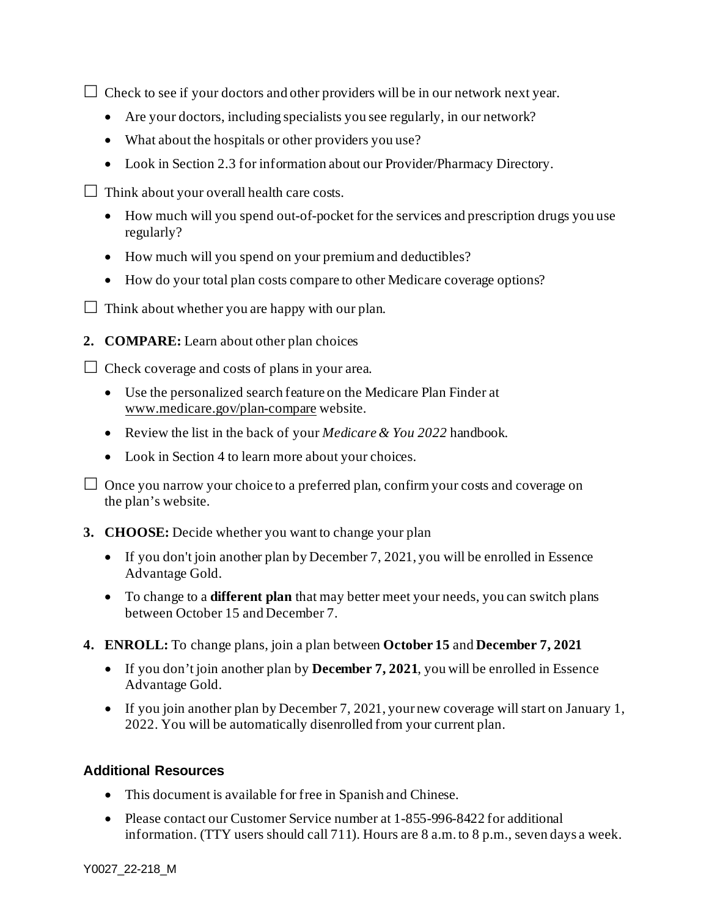$\Box$  Check to see if your doctors and other providers will be in our network next year.

- Are your doctors, including specialists you see regularly, in our network?
- What about the hospitals or other providers you use?
- Look in Section 2.3 for information about our Provider/Pharmacy Directory.
- $\Box$  Think about your overall health care costs.
	- How much will you spend out-of-pocket for the services and prescription drugs you use regularly?
	- How much will you spend on your premium and deductibles?
	- How do your total plan costs compare to other Medicare coverage options?
- $\Box$  Think about whether you are happy with our plan.
- **2. COMPARE:** Learn about other plan choices

 $\Box$  Check coverage and costs of plans in your area.

- Use the personalized search feature on the Medicare Plan Finder at [www.medicare.gov/plan-compare](http://www.medicare.gov/plan-compare) website.
- Review the list in the back of your *Medicare & You 2022* handbook.
- Look in Section 4 to learn more about your choices.

 $\Box$  Once you narrow your choice to a preferred plan, confirm your costs and coverage on the plan's website.

- **3. CHOOSE:** Decide whether you want to change your plan
	- If you don't join another plan by December 7, 2021, you will be enrolled in Essence Advantage Gold.
	- To change to a **different plan** that may better meet your needs, you can switch plans between October 15 and December 7.
- **4. ENROLL:** To change plans, join a plan between **October 15** and **December 7, 2021**
	- If you don't join another plan by **December 7, 2021**, you will be enrolled in Essence Advantage Gold.
	- If you join another plan by December 7, 2021, your new coverage will start on January 1, 2022. You will be automatically disenrolled from your current plan.

### **Additional Resources**

- This document is available for free in Spanish and Chinese*.*
- Please contact our Customer Service number at 1-855-996-8422 for additional information. (TTY users should call 711). Hours are 8 a.m. to 8 p.m., seven days a week.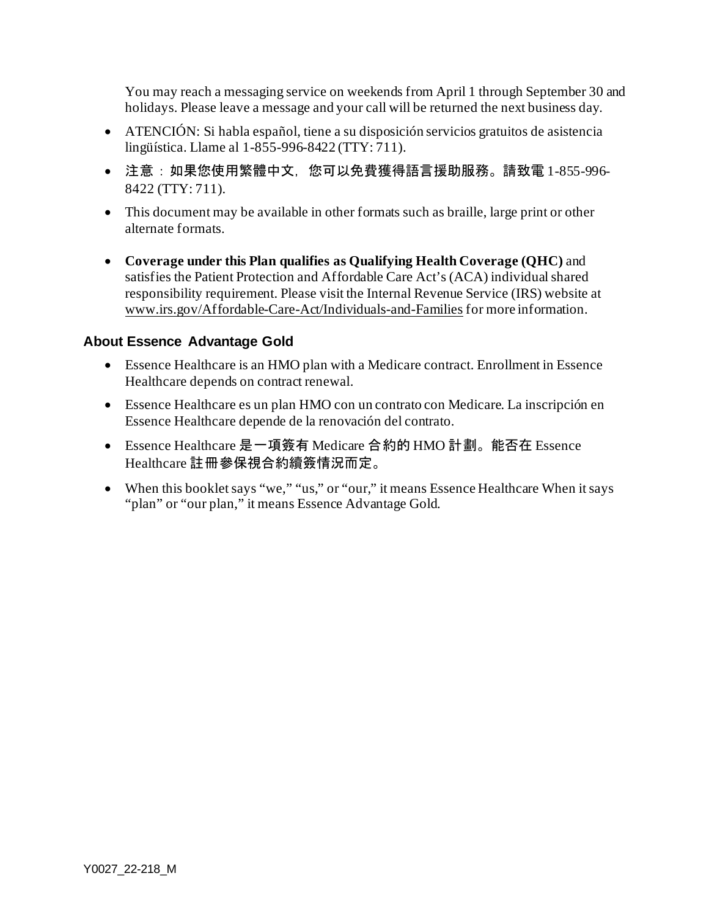You may reach a messaging service on weekends from April 1 through September 30 and holidays. Please leave a message and your call will be returned the next business day.

- ATENCIÓN: Si habla español, tiene a su disposición servicios gratuitos de asistencia lingüística. Llame al 1-855-996-8422 (TTY: 711).
- 注意:如果您使用繁體中文,您可以免費獲得語言援助服務。請致電 1-855-996-8422 (TTY: 711).
- This document may be available in other formats such as braille, large print or other alternate formats.
- **Coverage under this Plan qualifies as Qualifying Health Coverage (QHC)** and satisfies the Patient Protection and Affordable Care Act's (ACA) individual shared responsibility requirement. Please visit the Internal Revenue Service (IRS) website at [www.irs.gov/Affordable-Care-Act/Individuals-and-Families](http://www.irs.gov/Affordable-Care-Act/Individuals-and-Families) for more information.

#### **About Essence Advantage Gold**

- Essence Healthcare is an HMO plan with a Medicare contract. Enrollment in Essence Healthcare depends on contract renewal.
- Essence Healthcare es un plan HMO con un contrato con Medicare. La inscripción en Essence Healthcare depende de la renovación del contrato.
- Essence Healthcare 是一項簽有 Medicare 合約的 HMO 計劃。能否在 Essence Healthcare 註冊參保視合約續簽情況而定。
- When this booklet says "we," "us," or "our," it means Essence Healthcare When it says "plan" or "our plan," it means Essence Advantage Gold.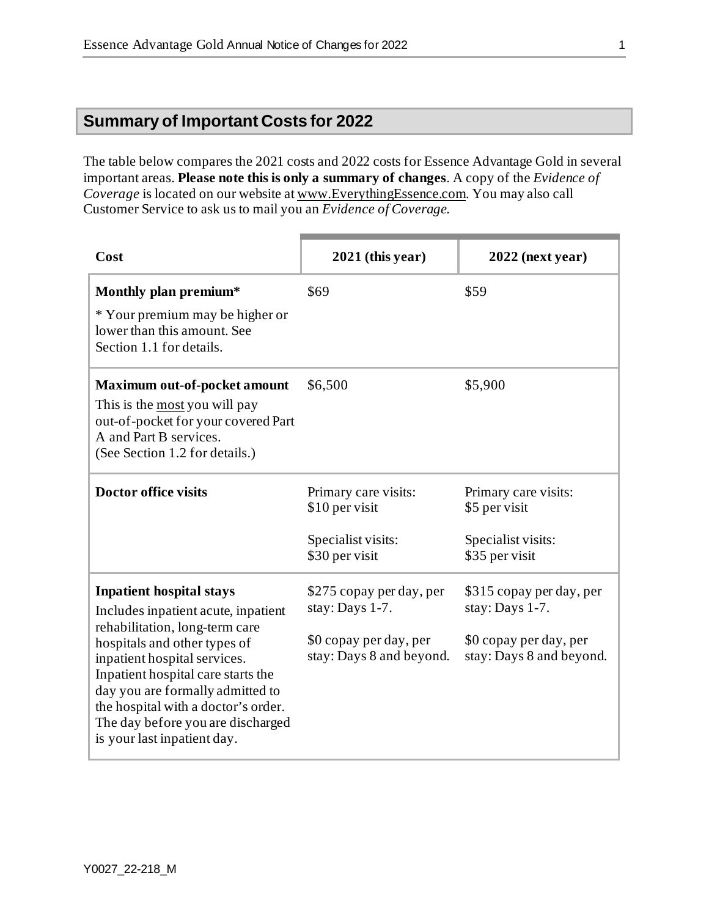# **Summary of Important Costs for 2022**

The table below compares the 2021 costs and 2022 costs for Essence Advantage Gold in several important areas. **Please note this is only a summary of changes**. A copy of the *Evidence of Coverage* is located on our website at [www.EverythingEssence.com](http://www.everythingessence.com/). You may also call Customer Service to ask us to mail you an *Evidence of Coverage*.

| Cost                                                                                                                                                                                                                                                                                                                                                          | $2021$ (this year)                                                                                | $2022$ (next year)                                                                                |
|---------------------------------------------------------------------------------------------------------------------------------------------------------------------------------------------------------------------------------------------------------------------------------------------------------------------------------------------------------------|---------------------------------------------------------------------------------------------------|---------------------------------------------------------------------------------------------------|
| Monthly plan premium*<br>* Your premium may be higher or<br>lower than this amount. See<br>Section 1.1 for details.                                                                                                                                                                                                                                           | \$69                                                                                              | \$59                                                                                              |
| <b>Maximum out-of-pocket amount</b><br>This is the most you will pay<br>out-of-pocket for your covered Part<br>A and Part B services.<br>(See Section 1.2 for details.)                                                                                                                                                                                       | \$6,500                                                                                           | \$5,900                                                                                           |
| <b>Doctor office visits</b>                                                                                                                                                                                                                                                                                                                                   | Primary care visits:<br>\$10 per visit<br>Specialist visits:<br>\$30 per visit                    | Primary care visits:<br>\$5 per visit<br>Specialist visits:<br>\$35 per visit                     |
| <b>Inpatient hospital stays</b><br>Includes inpatient acute, inpatient<br>rehabilitation, long-term care<br>hospitals and other types of<br>inpatient hospital services.<br>Inpatient hospital care starts the<br>day you are formally admitted to<br>the hospital with a doctor's order.<br>The day before you are discharged<br>is your last inpatient day. | \$275 copay per day, per<br>stay: Days 1-7.<br>\$0 copay per day, per<br>stay: Days 8 and beyond. | \$315 copay per day, per<br>stay: Days 1-7.<br>\$0 copay per day, per<br>stay: Days 8 and beyond. |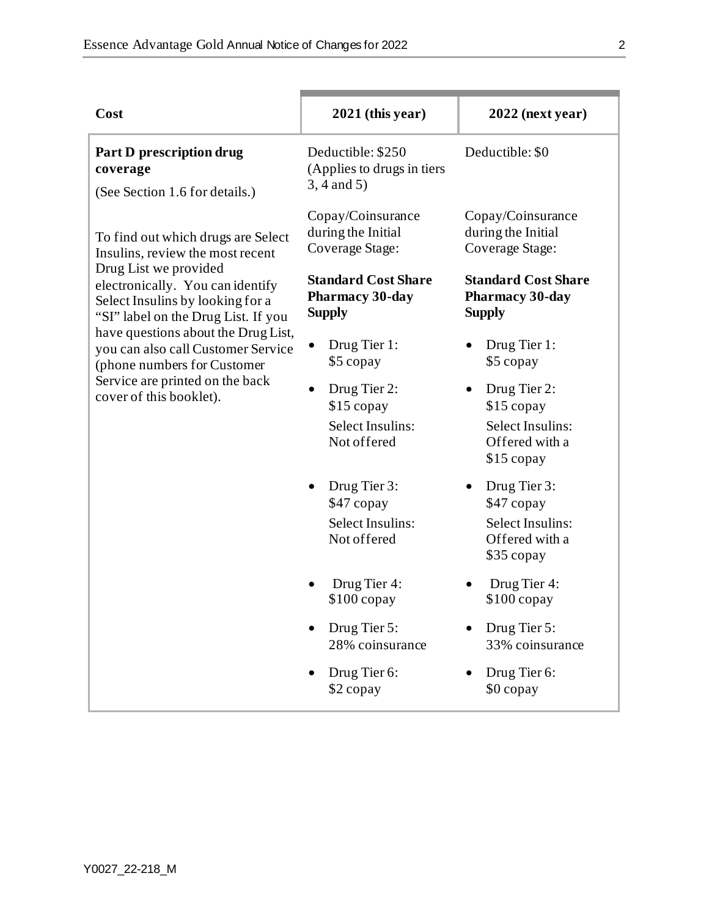| Cost                                                                                                                                                                                                                                                                                                           | $2021$ (this year)                                                   | $2022$ (next year)                                                             |
|----------------------------------------------------------------------------------------------------------------------------------------------------------------------------------------------------------------------------------------------------------------------------------------------------------------|----------------------------------------------------------------------|--------------------------------------------------------------------------------|
| Part D prescription drug<br>coverage<br>(See Section 1.6 for details.)                                                                                                                                                                                                                                         | Deductible: \$250<br>(Applies to drugs in tiers<br>$3, 4$ and $5)$   | Deductible: \$0                                                                |
| To find out which drugs are Select<br>Insulins, review the most recent                                                                                                                                                                                                                                         | Copay/Coinsurance<br>during the Initial<br><b>Coverage Stage:</b>    | Copay/Coinsurance<br>during the Initial<br>Coverage Stage:                     |
| Drug List we provided<br>electronically. You can identify<br>Select Insulins by looking for a<br>"SI" label on the Drug List. If you<br>have questions about the Drug List,<br>you can also call Customer Service<br>(phone numbers for Customer<br>Service are printed on the back<br>cover of this booklet). | <b>Standard Cost Share</b><br>Pharmacy 30-day<br><b>Supply</b>       | <b>Standard Cost Share</b><br><b>Pharmacy 30-day</b><br><b>Supply</b>          |
|                                                                                                                                                                                                                                                                                                                | Drug Tier 1:<br>\$5 copay                                            | Drug Tier 1:<br>\$5 copay                                                      |
|                                                                                                                                                                                                                                                                                                                | Drug Tier 2:<br>$\bullet$<br>$$15$ copay                             | Drug Tier 2:<br>$$15$ copay                                                    |
|                                                                                                                                                                                                                                                                                                                | Select Insulins:<br>Not offered                                      | Select Insulins:<br>Offered with a<br>$$15$ copay                              |
|                                                                                                                                                                                                                                                                                                                | Drug Tier 3:<br>\$47 copay<br><b>Select Insulins:</b><br>Not offered | Drug Tier 3:<br>\$47 copay<br>Select Insulins:<br>Offered with a<br>\$35 copay |
|                                                                                                                                                                                                                                                                                                                | Drug Tier 4:<br>$$100$ copay                                         | Drug Tier 4:<br>$$100$ copay                                                   |
|                                                                                                                                                                                                                                                                                                                | Drug Tier 5:<br>28% coinsurance                                      | Drug Tier 5:<br>33% coinsurance                                                |
|                                                                                                                                                                                                                                                                                                                | Drug Tier 6:<br>\$2 copay                                            | Drug Tier 6:<br>\$0 copay                                                      |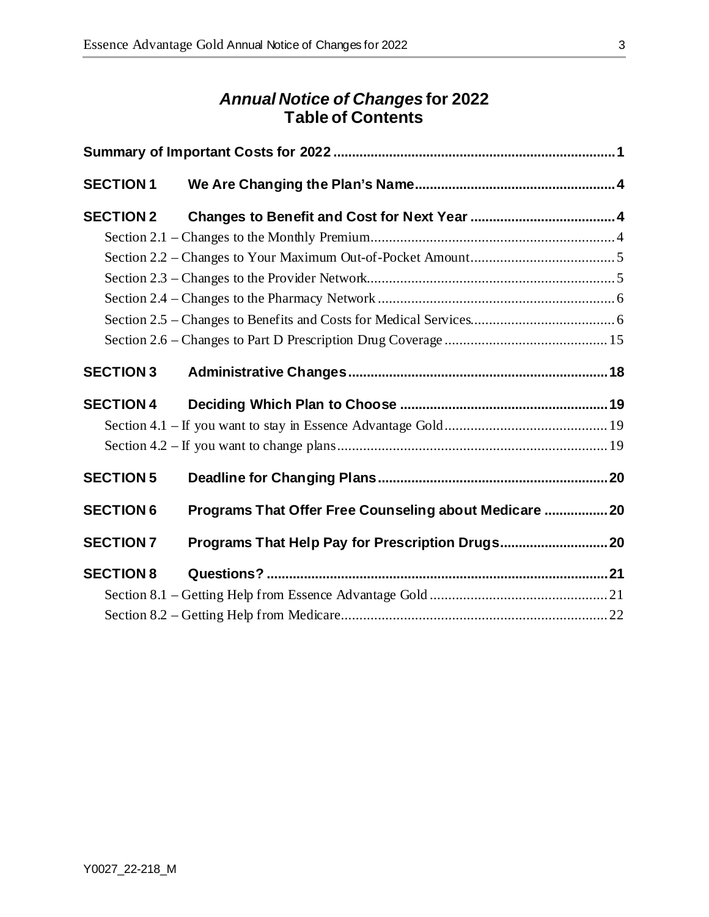# *Annual Notice of Changes* **for 2022 Table of Contents**

| <b>SECTION 1</b> |                                                        |  |
|------------------|--------------------------------------------------------|--|
| <b>SECTION 2</b> |                                                        |  |
|                  |                                                        |  |
|                  |                                                        |  |
|                  |                                                        |  |
|                  |                                                        |  |
|                  |                                                        |  |
|                  |                                                        |  |
| <b>SECTION 3</b> |                                                        |  |
| <b>SECTION 4</b> |                                                        |  |
|                  |                                                        |  |
|                  |                                                        |  |
| <b>SECTION 5</b> |                                                        |  |
| <b>SECTION 6</b> | Programs That Offer Free Counseling about Medicare  20 |  |
| <b>SECTION 7</b> |                                                        |  |
| <b>SECTION 8</b> |                                                        |  |
|                  |                                                        |  |
|                  |                                                        |  |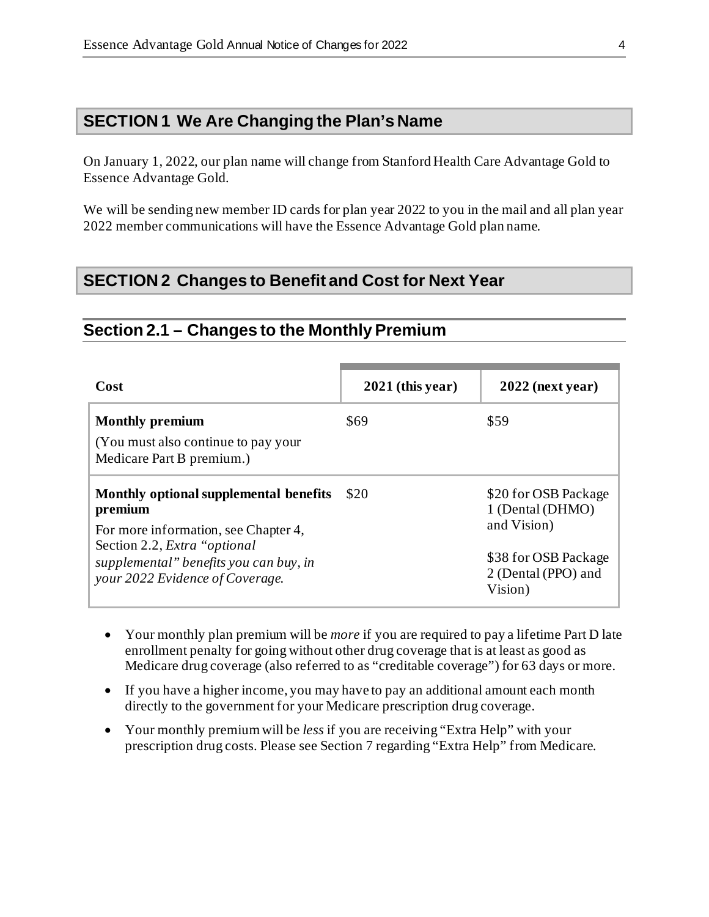# **SECTION 1 We Are Changing the Plan's Name**

On January 1, 2022, our plan name will change from Stanford Health Care Advantage Gold to Essence Advantage Gold*.* 

We will be sending new member ID cards for plan year 2022 to you in the mail and all plan year 2022 member communications will have the Essence Advantage Gold plan name.

# **SECTION 2 Changes to Benefit and Cost for Next Year**

#### **Section 2.1 – Changes to the Monthly Premium**

| Cost                                                                                                                                                                                                    | $2021$ (this year) | $2022$ (next year)                                                                                                |
|---------------------------------------------------------------------------------------------------------------------------------------------------------------------------------------------------------|--------------------|-------------------------------------------------------------------------------------------------------------------|
| <b>Monthly premium</b><br>(You must also continue to pay your<br>Medicare Part B premium.)                                                                                                              | \$69               | \$59                                                                                                              |
| Monthly optional supplemental benefits<br>premium<br>For more information, see Chapter 4,<br>Section 2.2, Extra "optional"<br>supplemental" benefits you can buy, in<br>your 2022 Evidence of Coverage. | \$20               | \$20 for OSB Package<br>1 (Dental (DHMO)<br>and Vision)<br>\$38 for OSB Package<br>2 (Dental (PPO) and<br>Vision) |

- Your monthly plan premium will be *more* if you are required to pay a lifetime Part D late enrollment penalty for going without other drug coverage that is at least as good as Medicare drug coverage (also referred to as "creditable coverage") for 63 days or more.
- If you have a higher income, you may have to pay an additional amount each month directly to the government for your Medicare prescription drug coverage.
- Your monthly premium will be *less* if you are receiving "Extra Help" with your prescription drug costs. Please see Section 7 regarding "Extra Help" from Medicare.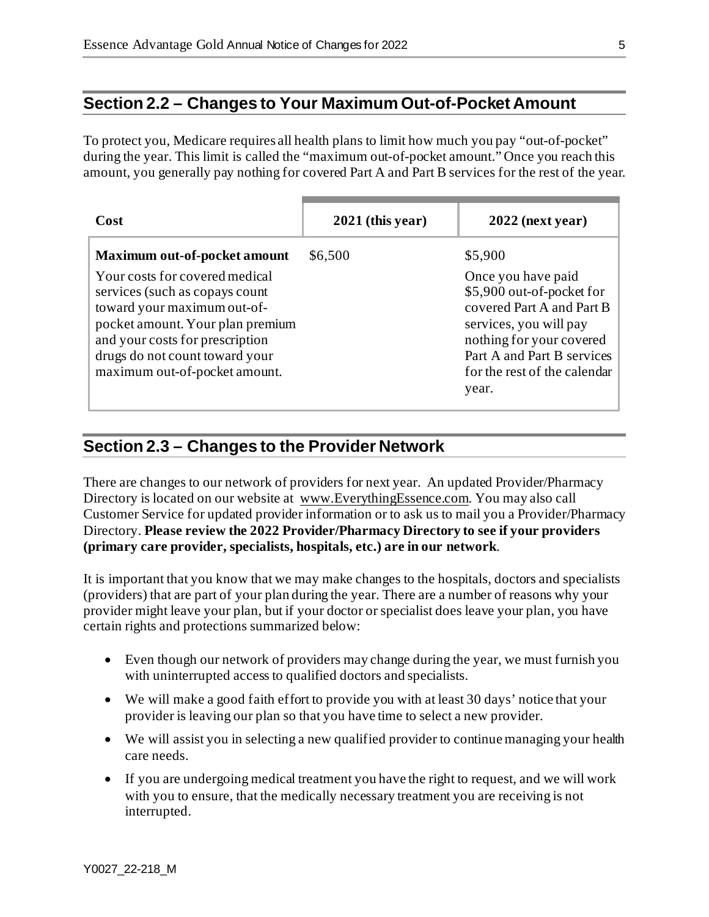# **Section 2.2 – Changes to Your Maximum Out-of-Pocket Amount**

To protect you, Medicare requires all health plans to limit how much you pay "out-of-pocket" during the year. This limit is called the "maximum out-of-pocket amount." Once you reach this amount, you generally pay nothing for covered Part A and Part B services for the rest of the year.

| Cost                                                                                                                                                                                                                                      | $2021$ (this year) | $2022$ (next year)                                                                                                                                                                                        |
|-------------------------------------------------------------------------------------------------------------------------------------------------------------------------------------------------------------------------------------------|--------------------|-----------------------------------------------------------------------------------------------------------------------------------------------------------------------------------------------------------|
| Maximum out-of-pocket amount                                                                                                                                                                                                              | \$6,500            | \$5,900                                                                                                                                                                                                   |
| Your costs for covered medical<br>services (such as copays count<br>toward your maximum out-of-<br>pocket amount. Your plan premium<br>and your costs for prescription<br>drugs do not count toward your<br>maximum out-of-pocket amount. |                    | Once you have paid<br>\$5,900 out-of-pocket for<br>covered Part A and Part B<br>services, you will pay<br>nothing for your covered<br>Part A and Part B services<br>for the rest of the calendar<br>year. |

#### **Section 2.3 – Changes to the Provider Network**

There are changes to our network of providers for next year. An updated Provider/Pharmacy Directory is located on our website at [www.EverythingEssence.com.](http://www.everythingessence.com/) You may also call Customer Service for updated provider information or to ask us to mail you a Provider/Pharmacy Directory. **Please review the 2022 Provider/Pharmacy Directory to see if your providers (primary care provider, specialists, hospitals, etc.) are in our network**.

It is important that you know that we may make changes to the hospitals, doctors and specialists (providers) that are part of your plan during the year. There are a number of reasons why your provider might leave your plan, but if your doctor or specialist does leave your plan, you have certain rights and protections summarized below:

- Even though our network of providers may change during the year, we must furnish you with uninterrupted access to qualified doctors and specialists.
- We will make a good faith effort to provide you with at least 30 days' notice that your provider is leaving our plan so that you have time to select a new provider.
- We will assist you in selecting a new qualified provider to continue managing your health care needs.
- If you are undergoing medical treatment you have the right to request, and we will work with you to ensure, that the medically necessary treatment you are receiving is not interrupted.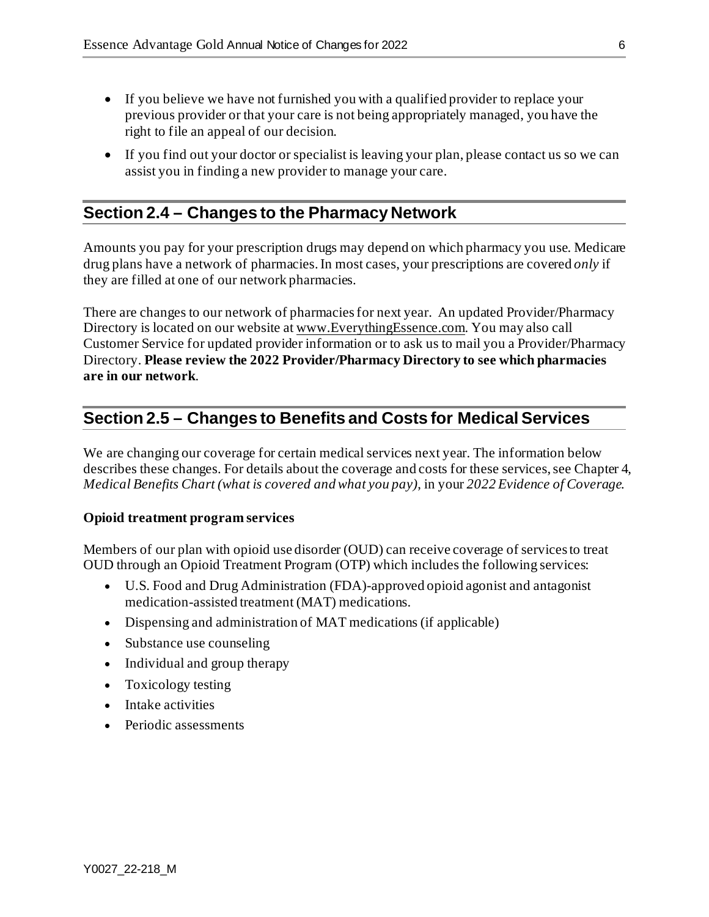- If you believe we have not furnished you with a qualified provider to replace your previous provider or that your care is not being appropriately managed, you have the right to file an appeal of our decision.
- If you find out your doctor or specialist is leaving your plan, please contact us so we can assist you in finding a new provider to manage your care.

# **Section 2.4 – Changes to the Pharmacy Network**

Amounts you pay for your prescription drugs may depend on which pharmacy you use. Medicare drug plans have a network of pharmacies. In most cases, your prescriptions are covered *only* if they are filled at one of our network pharmacies.

There are changes to our network of pharmacies for next year. An updated Provider/Pharmacy Directory is located on our website a[t www.EverythingEssence.com.](http://www.everythingessence.com/) You may also call Customer Service for updated provider information or to ask us to mail you a Provider/Pharmacy Directory. **Please review the 2022 Provider/Pharmacy Directory to see which pharmacies are in our network**.

# **Section 2.5 – Changes to Benefits and Costs for Medical Services**

We are changing our coverage for certain medical services next year. The information below describes these changes. For details about the coverage and costs for these services, see Chapter 4, *Medical Benefits Chart (what is covered and what you pay)*, in your *2022 Evidence of Coverage.*

#### **Opioid treatment program services**

Members of our plan with opioid use disorder (OUD) can receive coverage of services to treat OUD through an Opioid Treatment Program (OTP) which includes the following services:

- U.S. Food and Drug Administration (FDA)-approved opioid agonist and antagonist medication-assisted treatment (MAT) medications.
- Dispensing and administration of MAT medications (if applicable)
- Substance use counseling
- Individual and group therapy
- Toxicology testing
- Intake activities
- Periodic assessments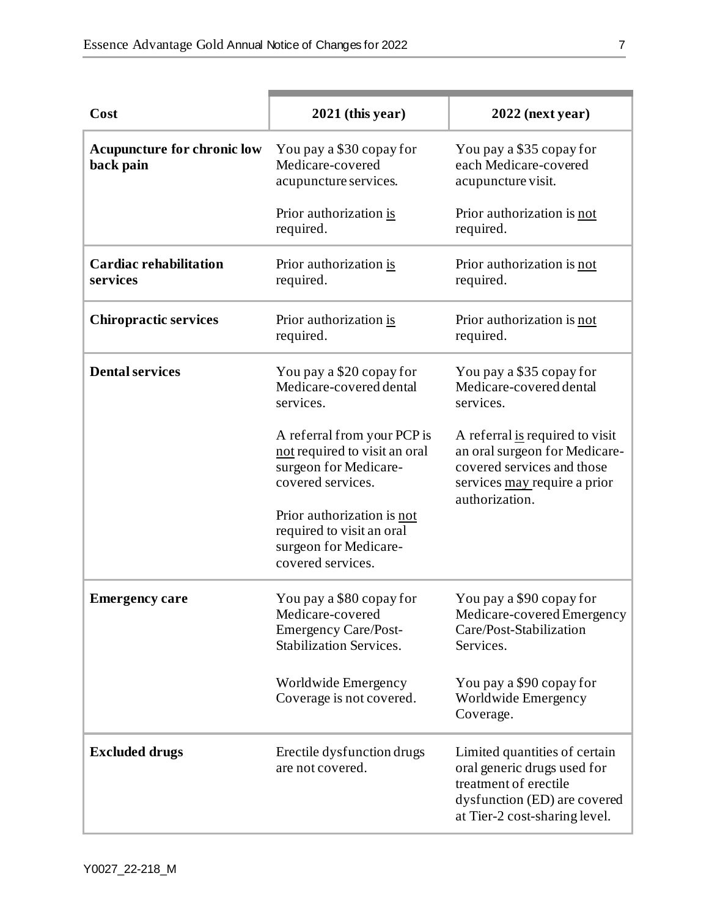| Cost                                            | $2021$ (this year)                                                                                            | $2022$ (next year)                                                                                                                                     |
|-------------------------------------------------|---------------------------------------------------------------------------------------------------------------|--------------------------------------------------------------------------------------------------------------------------------------------------------|
| <b>Acupuncture for chronic low</b><br>back pain | You pay a \$30 copay for<br>Medicare-covered<br>acupuncture services.                                         | You pay a \$35 copay for<br>each Medicare-covered<br>acupuncture visit.                                                                                |
|                                                 | Prior authorization is<br>required.                                                                           | Prior authorization is not<br>required.                                                                                                                |
| <b>Cardiac rehabilitation</b><br>services       | Prior authorization is<br>required.                                                                           | Prior authorization is not<br>required.                                                                                                                |
| <b>Chiropractic services</b>                    | Prior authorization is<br>required.                                                                           | Prior authorization is not<br>required.                                                                                                                |
| <b>Dental services</b>                          | You pay a \$20 copay for<br>Medicare-covered dental<br>services.                                              | You pay a \$35 copay for<br>Medicare-covered dental<br>services.                                                                                       |
|                                                 | A referral from your PCP is<br>not required to visit an oral<br>surgeon for Medicare-<br>covered services.    | A referral is required to visit<br>an oral surgeon for Medicare-<br>covered services and those<br>services may require a prior<br>authorization.       |
|                                                 | Prior authorization is not<br>required to visit an oral<br>surgeon for Medicare-<br>covered services.         |                                                                                                                                                        |
| <b>Emergency care</b>                           | You pay a \$80 copay for<br>Medicare-covered<br><b>Emergency Care/Post-</b><br><b>Stabilization Services.</b> | You pay a \$90 copay for<br>Medicare-covered Emergency<br>Care/Post-Stabilization<br>Services.                                                         |
|                                                 | Worldwide Emergency<br>Coverage is not covered.                                                               | You pay a \$90 copay for<br>Worldwide Emergency<br>Coverage.                                                                                           |
| <b>Excluded drugs</b>                           | Erectile dysfunction drugs<br>are not covered.                                                                | Limited quantities of certain<br>oral generic drugs used for<br>treatment of erectile<br>dysfunction (ED) are covered<br>at Tier-2 cost-sharing level. |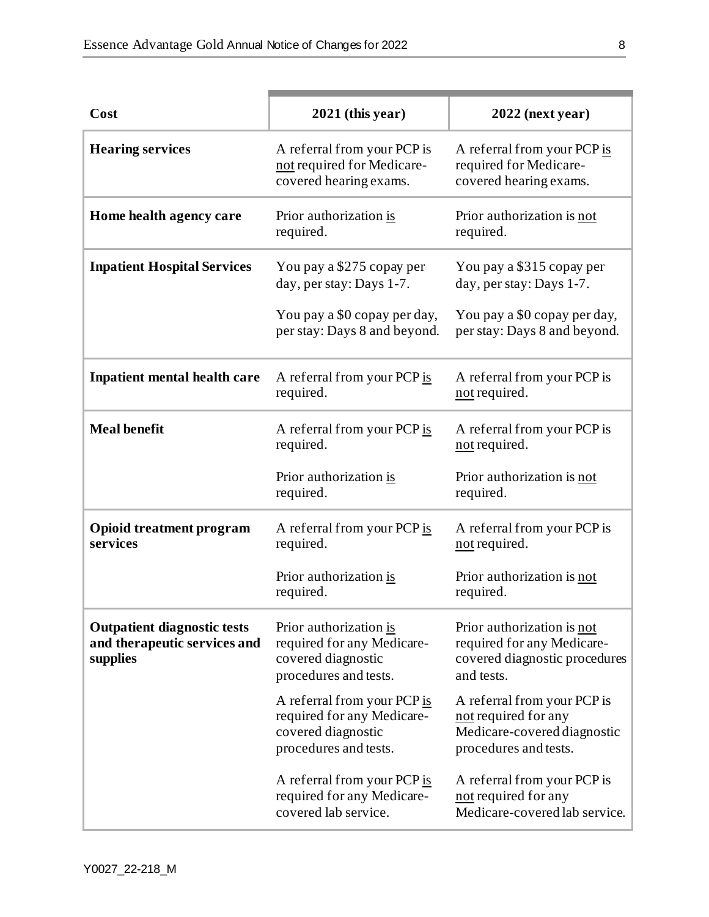| Cost                                                                           | $2021$ (this year)                                                                                       | $2022$ (next year)                                                                                          |
|--------------------------------------------------------------------------------|----------------------------------------------------------------------------------------------------------|-------------------------------------------------------------------------------------------------------------|
| <b>Hearing services</b>                                                        | A referral from your PCP is<br>not required for Medicare-<br>covered hearing exams.                      | A referral from your PCP is<br>required for Medicare-<br>covered hearing exams.                             |
| Home health agency care                                                        | Prior authorization is<br>required.                                                                      | Prior authorization is not<br>required.                                                                     |
| <b>Inpatient Hospital Services</b>                                             | You pay a \$275 copay per<br>day, per stay: Days 1-7.                                                    | You pay a \$315 copay per<br>day, per stay: Days 1-7.                                                       |
|                                                                                | You pay a \$0 copay per day,<br>per stay: Days 8 and beyond.                                             | You pay a \$0 copay per day,<br>per stay: Days 8 and beyond.                                                |
| <b>Inpatient mental health care</b>                                            | A referral from your PCP is<br>required.                                                                 | A referral from your PCP is<br>not required.                                                                |
| <b>Meal benefit</b>                                                            | A referral from your PCP is<br>required.                                                                 | A referral from your PCP is<br>not required.                                                                |
|                                                                                | Prior authorization is<br>required.                                                                      | Prior authorization is not<br>required.                                                                     |
| <b>Opioid treatment program</b><br>services                                    | A referral from your PCP is<br>required.                                                                 | A referral from your PCP is<br>not required.                                                                |
|                                                                                | Prior authorization is<br>required.                                                                      | Prior authorization is not<br>required.                                                                     |
| <b>Outpatient diagnostic tests</b><br>and therapeutic services and<br>supplies | Prior authorization is<br>required for any Medicare-<br>covered diagnostic<br>procedures and tests.      | Prior authorization is not<br>required for any Medicare-<br>covered diagnostic procedures<br>and tests.     |
|                                                                                | A referral from your PCP is<br>required for any Medicare-<br>covered diagnostic<br>procedures and tests. | A referral from your PCP is<br>not required for any<br>Medicare-covered diagnostic<br>procedures and tests. |
|                                                                                | A referral from your PCP is<br>required for any Medicare-<br>covered lab service.                        | A referral from your PCP is<br>not required for any<br>Medicare-covered lab service.                        |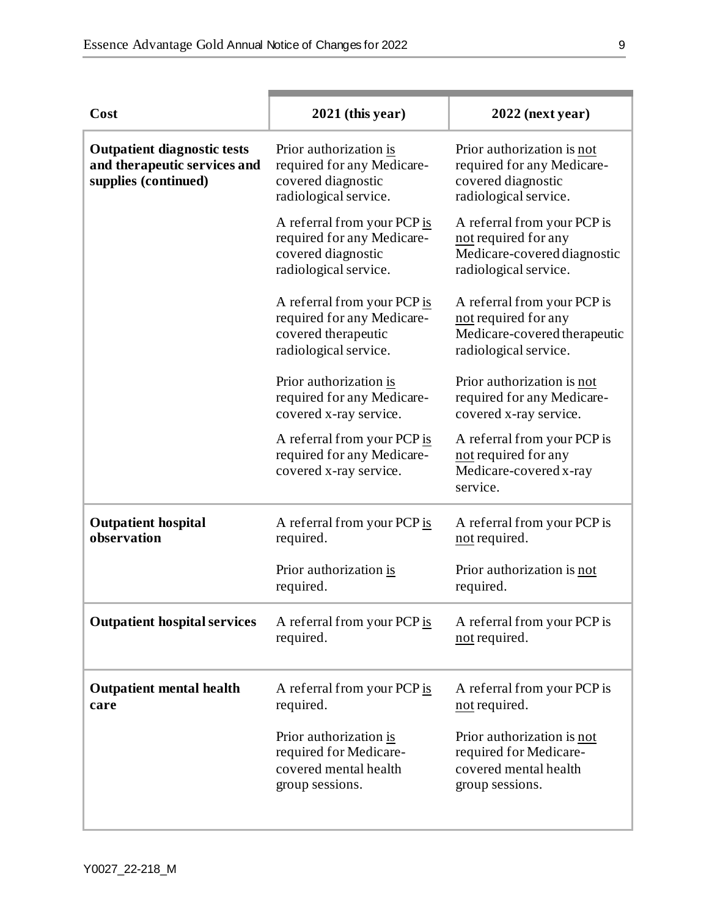| Cost                                                                                       | $2021$ (this year)                                                                                        | $2022$ (next year)                                                                                           |
|--------------------------------------------------------------------------------------------|-----------------------------------------------------------------------------------------------------------|--------------------------------------------------------------------------------------------------------------|
| <b>Outpatient diagnostic tests</b><br>and therapeutic services and<br>supplies (continued) | Prior authorization is<br>required for any Medicare-<br>covered diagnostic<br>radiological service.       | Prior authorization is not<br>required for any Medicare-<br>covered diagnostic<br>radiological service.      |
|                                                                                            | A referral from your PCP is<br>required for any Medicare-<br>covered diagnostic<br>radiological service.  | A referral from your PCP is<br>not required for any<br>Medicare-covered diagnostic<br>radiological service.  |
|                                                                                            | A referral from your PCP is<br>required for any Medicare-<br>covered therapeutic<br>radiological service. | A referral from your PCP is<br>not required for any<br>Medicare-covered therapeutic<br>radiological service. |
|                                                                                            | Prior authorization is<br>required for any Medicare-<br>covered x-ray service.                            | Prior authorization is not<br>required for any Medicare-<br>covered x-ray service.                           |
|                                                                                            | A referral from your PCP is<br>required for any Medicare-<br>covered x-ray service.                       | A referral from your PCP is<br>not required for any<br>Medicare-covered x-ray<br>service.                    |
| <b>Outpatient hospital</b><br>observation                                                  | A referral from your PCP is<br>required.                                                                  | A referral from your PCP is<br>not required.                                                                 |
|                                                                                            | Prior authorization is<br>required.                                                                       | Prior authorization is not<br>required.                                                                      |
| <b>Outpatient hospital services</b>                                                        | A referral from your PCP is<br>required.                                                                  | A referral from your PCP is<br>not required.                                                                 |
| <b>Outpatient mental health</b><br>care                                                    | A referral from your PCP is<br>required.                                                                  | A referral from your PCP is<br>not required.                                                                 |
|                                                                                            | Prior authorization is<br>required for Medicare-<br>covered mental health<br>group sessions.              | Prior authorization is not<br>required for Medicare-<br>covered mental health<br>group sessions.             |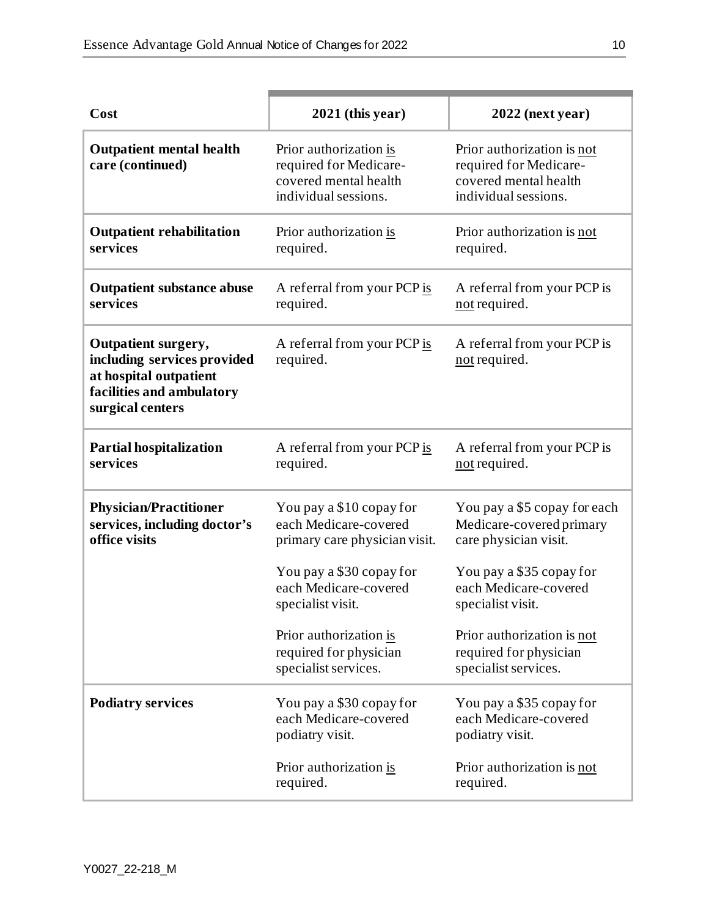| Cost                                                                                                                                 | $2021$ (this year)                                                                                | 2022 (next year)                                                                                      |
|--------------------------------------------------------------------------------------------------------------------------------------|---------------------------------------------------------------------------------------------------|-------------------------------------------------------------------------------------------------------|
| <b>Outpatient mental health</b><br>care (continued)                                                                                  | Prior authorization is<br>required for Medicare-<br>covered mental health<br>individual sessions. | Prior authorization is not<br>required for Medicare-<br>covered mental health<br>individual sessions. |
| <b>Outpatient rehabilitation</b><br>services                                                                                         | Prior authorization is<br>required.                                                               | Prior authorization is not<br>required.                                                               |
| <b>Outpatient substance abuse</b><br>services                                                                                        | A referral from your PCP is<br>required.                                                          | A referral from your PCP is<br>not required.                                                          |
| <b>Outpatient surgery,</b><br>including services provided<br>at hospital outpatient<br>facilities and ambulatory<br>surgical centers | A referral from your PCP is<br>required.                                                          | A referral from your PCP is<br>not required.                                                          |
| <b>Partial hospitalization</b><br>services                                                                                           | A referral from your PCP is<br>required.                                                          | A referral from your PCP is<br>not required.                                                          |
| <b>Physician/Practitioner</b><br>services, including doctor's<br>office visits                                                       | You pay a \$10 copay for<br>each Medicare-covered<br>primary care physician visit.                | You pay a \$5 copay for each<br>Medicare-covered primary<br>care physician visit.                     |
|                                                                                                                                      | You pay a \$30 copay for<br>each Medicare-covered<br>specialist visit.                            | You pay a \$35 copay for<br>each Medicare-covered<br>specialist visit.                                |
|                                                                                                                                      | Prior authorization is<br>required for physician<br>specialist services.                          | Prior authorization is not<br>required for physician<br>specialist services.                          |
| <b>Podiatry services</b>                                                                                                             | You pay a \$30 copay for<br>each Medicare-covered<br>podiatry visit.                              | You pay a \$35 copay for<br>each Medicare-covered<br>podiatry visit.                                  |
|                                                                                                                                      | Prior authorization is<br>required.                                                               | Prior authorization is not<br>required.                                                               |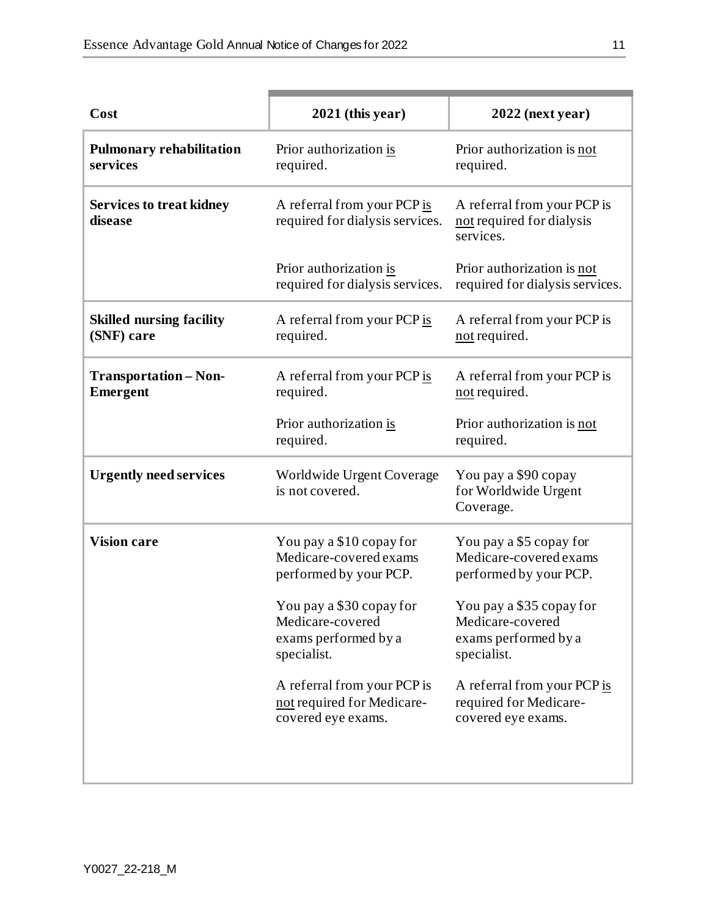| Cost                                            | $2021$ (this year)                                                                  | $2022$ (next year)                                                                  |
|-------------------------------------------------|-------------------------------------------------------------------------------------|-------------------------------------------------------------------------------------|
| <b>Pulmonary rehabilitation</b><br>services     | Prior authorization is<br>required.                                                 | Prior authorization is not<br>required.                                             |
| <b>Services to treat kidney</b><br>disease      | A referral from your PCP is<br>required for dialysis services.                      | A referral from your PCP is<br>not required for dialysis<br>services.               |
|                                                 | Prior authorization is<br>required for dialysis services.                           | Prior authorization is not<br>required for dialysis services.                       |
| <b>Skilled nursing facility</b><br>(SNF) care   | A referral from your PCP is<br>required.                                            | A referral from your PCP is<br>not required.                                        |
| <b>Transportation - Non-</b><br><b>Emergent</b> | A referral from your PCP is<br>required.                                            | A referral from your PCP is<br>not required.                                        |
|                                                 | Prior authorization is<br>required.                                                 | Prior authorization is not<br>required.                                             |
| <b>Urgently need services</b>                   | Worldwide Urgent Coverage<br>is not covered.                                        | You pay a \$90 copay<br>for Worldwide Urgent<br>Coverage.                           |
| <b>Vision care</b>                              | You pay a \$10 copay for<br>Medicare-covered exams<br>performed by your PCP.        | You pay a \$5 copay for<br>Medicare-covered exams<br>performed by your PCP.         |
|                                                 | You pay a \$30 copay for<br>Medicare-covered<br>exams performed by a<br>specialist. | You pay a \$35 copay for<br>Medicare-covered<br>exams performed by a<br>specialist. |
|                                                 | A referral from your PCP is<br>not required for Medicare-<br>covered eye exams.     | A referral from your PCP is<br>required for Medicare-<br>covered eye exams.         |
|                                                 |                                                                                     |                                                                                     |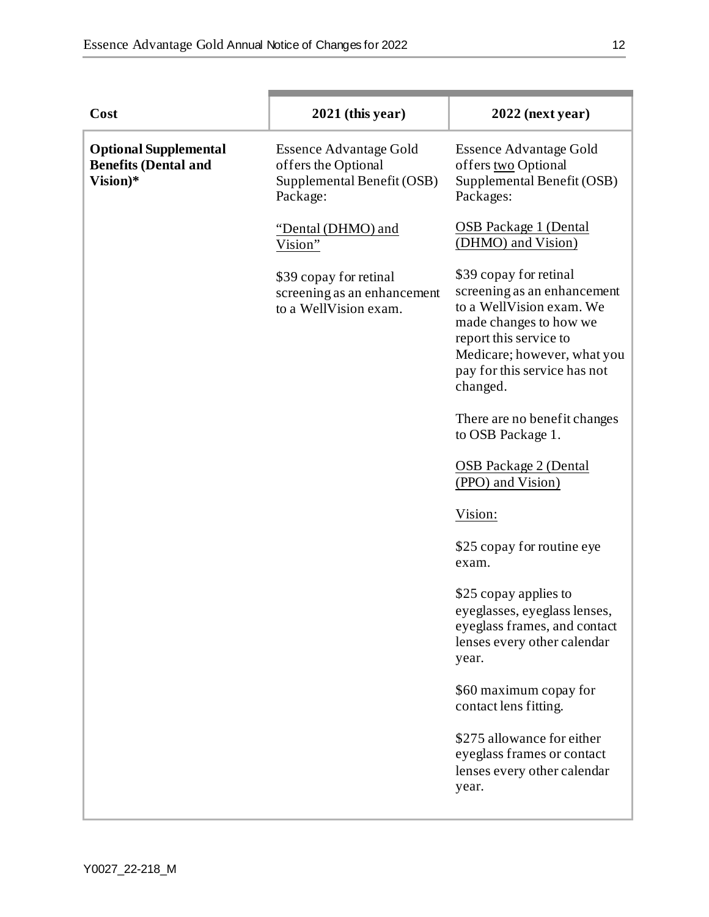| Cost                                                                    | $2021$ (this year)                                                                             | $2022$ (next year)                                                                                                                                                                                               |
|-------------------------------------------------------------------------|------------------------------------------------------------------------------------------------|------------------------------------------------------------------------------------------------------------------------------------------------------------------------------------------------------------------|
| <b>Optional Supplemental</b><br><b>Benefits (Dental and</b><br>Vision)* | <b>Essence Advantage Gold</b><br>offers the Optional<br>Supplemental Benefit (OSB)<br>Package: | <b>Essence Advantage Gold</b><br>offers two Optional<br>Supplemental Benefit (OSB)<br>Packages:                                                                                                                  |
|                                                                         | "Dental (DHMO) and<br>Vision"                                                                  | <b>OSB</b> Package 1 (Dental<br>(DHMO) and Vision)                                                                                                                                                               |
|                                                                         | \$39 copay for retinal<br>screening as an enhancement<br>to a WellVision exam.                 | \$39 copay for retinal<br>screening as an enhancement<br>to a WellVision exam. We<br>made changes to how we<br>report this service to<br>Medicare; however, what you<br>pay for this service has not<br>changed. |
|                                                                         |                                                                                                | There are no benefit changes<br>to OSB Package 1.                                                                                                                                                                |
|                                                                         |                                                                                                | <b>OSB</b> Package 2 (Dental<br>(PPO) and Vision)                                                                                                                                                                |
|                                                                         |                                                                                                | Vision:                                                                                                                                                                                                          |
|                                                                         |                                                                                                | \$25 copay for routine eye<br>exam.                                                                                                                                                                              |
|                                                                         |                                                                                                | \$25 copay applies to<br>eyeglasses, eyeglass lenses,<br>eyeglass frames, and contact<br>lenses every other calendar<br>year.                                                                                    |
|                                                                         |                                                                                                | \$60 maximum copay for<br>contact lens fitting.                                                                                                                                                                  |
|                                                                         |                                                                                                | \$275 allowance for either<br>eyeglass frames or contact<br>lenses every other calendar<br>year.                                                                                                                 |
|                                                                         |                                                                                                |                                                                                                                                                                                                                  |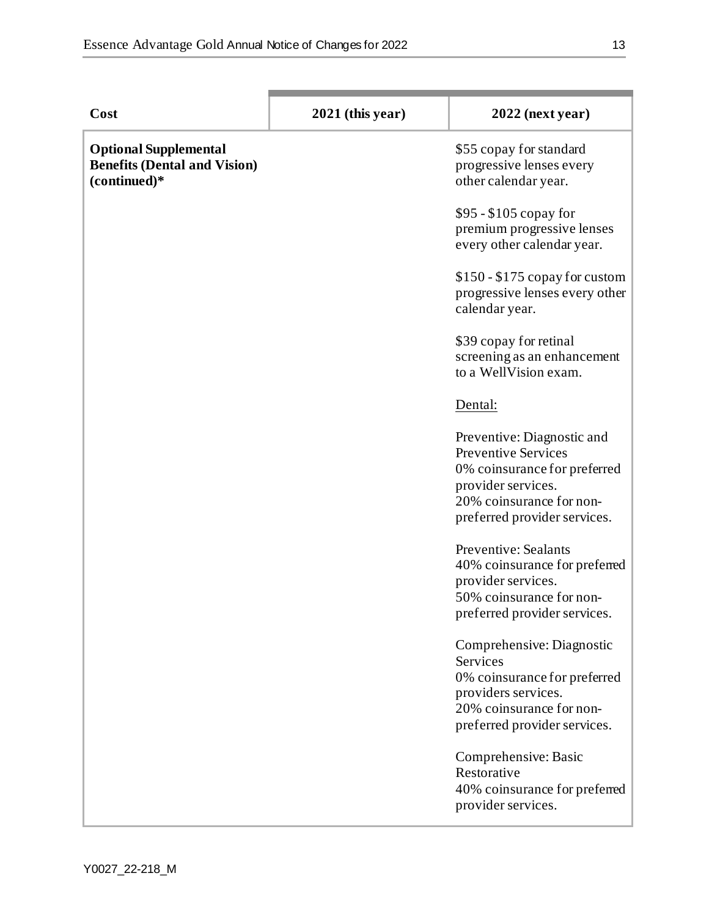| Cost                                                                                | $2021$ (this year) | $2022$ (next year)                                                                                                                                                         |
|-------------------------------------------------------------------------------------|--------------------|----------------------------------------------------------------------------------------------------------------------------------------------------------------------------|
| <b>Optional Supplemental</b><br><b>Benefits (Dental and Vision)</b><br>(continued)* |                    | \$55 copay for standard<br>progressive lenses every<br>other calendar year.                                                                                                |
|                                                                                     |                    | $$95 - $105$ copay for<br>premium progressive lenses<br>every other calendar year.                                                                                         |
|                                                                                     |                    | $$150 - $175$ copay for custom<br>progressive lenses every other<br>calendar year.                                                                                         |
|                                                                                     |                    | \$39 copay for retinal<br>screening as an enhancement<br>to a WellVision exam.                                                                                             |
|                                                                                     |                    | Dental:                                                                                                                                                                    |
|                                                                                     |                    | Preventive: Diagnostic and<br><b>Preventive Services</b><br>0% coinsurance for preferred<br>provider services.<br>20% coinsurance for non-<br>preferred provider services. |
|                                                                                     |                    | <b>Preventive: Sealants</b><br>40% coinsurance for preferred<br>provider services.<br>50% coinsurance for non-<br>preferred provider services.                             |
|                                                                                     |                    | Comprehensive: Diagnostic<br>Services<br>0% coinsurance for preferred<br>providers services.<br>20% coinsurance for non-<br>preferred provider services.                   |
|                                                                                     |                    | Comprehensive: Basic<br>Restorative<br>40% coinsurance for preferred<br>provider services.                                                                                 |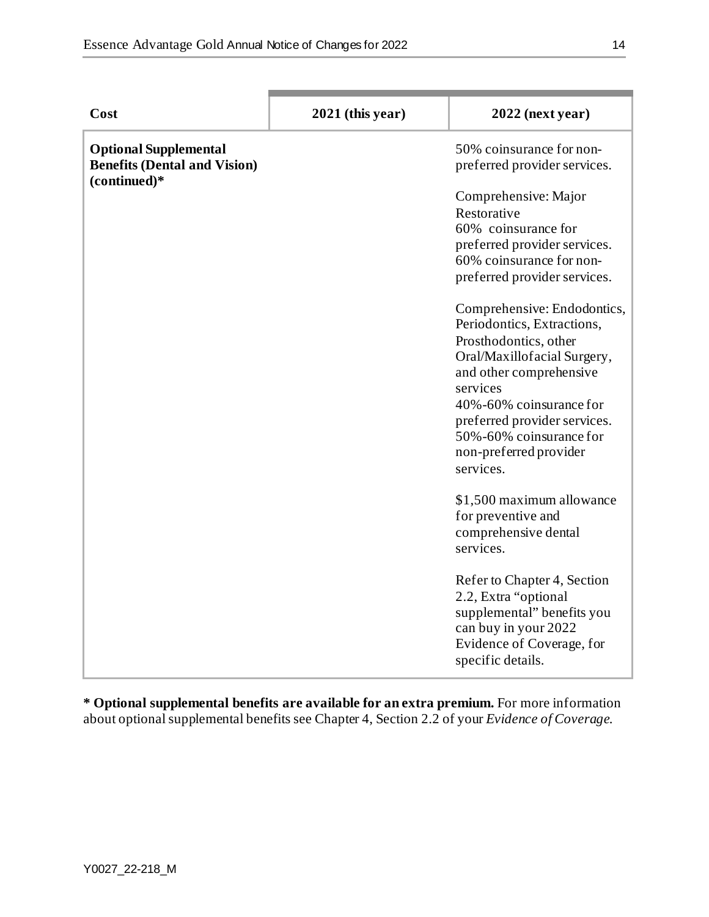| Cost                                                                | $2021$ (this year) | $2022$ (next year)                                                                                                                                                                                                                                                                    |
|---------------------------------------------------------------------|--------------------|---------------------------------------------------------------------------------------------------------------------------------------------------------------------------------------------------------------------------------------------------------------------------------------|
| <b>Optional Supplemental</b><br><b>Benefits (Dental and Vision)</b> |                    | 50% coinsurance for non-<br>preferred provider services.                                                                                                                                                                                                                              |
| (continued)*                                                        |                    | Comprehensive: Major<br>Restorative<br>60% coinsurance for<br>preferred provider services.<br>60% coinsurance for non-<br>preferred provider services.                                                                                                                                |
|                                                                     |                    | Comprehensive: Endodontics,<br>Periodontics, Extractions,<br>Prosthodontics, other<br>Oral/Maxillofacial Surgery,<br>and other comprehensive<br>services<br>40%-60% coinsurance for<br>preferred provider services.<br>50%-60% coinsurance for<br>non-preferred provider<br>services. |
|                                                                     |                    | \$1,500 maximum allowance<br>for preventive and<br>comprehensive dental<br>services.                                                                                                                                                                                                  |
|                                                                     |                    | Refer to Chapter 4, Section<br>2.2, Extra "optional<br>supplemental" benefits you<br>can buy in your 2022<br>Evidence of Coverage, for<br>specific details.                                                                                                                           |

**\* Optional supplemental benefits are available for an extra premium.** For more information about optional supplemental benefits see Chapter 4, Section 2.2 of your *Evidence of Coverage*.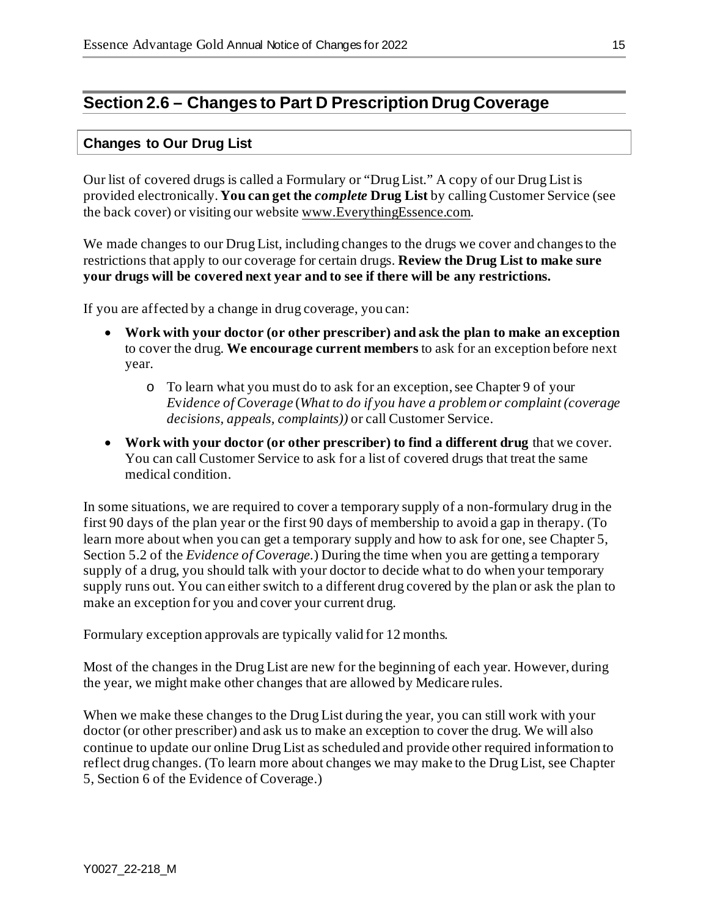# **Section 2.6 – Changes to Part D Prescription Drug Coverage**

#### **Changes to Our Drug List**

Our list of covered drugs is called a Formulary or "Drug List." A copy of our Drug List is provided electronically. **You can get the** *complete* **Drug List** by calling Customer Service (see the back cover) or visiting our website [www.EverythingEssence.com](http://www.everythingessence.com/).

We made changes to our Drug List, including changes to the drugs we cover and changes to the restrictions that apply to our coverage for certain drugs. **Review the Drug List to make sure your drugs will be covered next year and to see if there will be any restrictions.**

If you are affected by a change in drug coverage, you can:

- **Work with your doctor (or other prescriber) and ask the plan to make an exception** to cover the drug. **We encourage current members** to ask for an exception before next year.
	- o To learn what you must do to ask for an exception, see Chapter 9 of your *E*v*idence of Coverage* (*What to do if you have a problem or complaint (coverage decisions, appeals, complaints))* or call Customer Service.
- **Work with your doctor (or other prescriber) to find a different drug** that we cover. You can call Customer Service to ask for a list of covered drugs that treat the same medical condition.

In some situations, we are required to cover a temporary supply of a non-formulary drug in the first 90 days of the plan year or the first 90 days of membership to avoid a gap in therapy. (To learn more about when you can get a temporary supply and how to ask for one, see Chapter 5, Section 5.2 of the *Evidence of Coverage.*) During the time when you are getting a temporary supply of a drug, you should talk with your doctor to decide what to do when your temporary supply runs out. You can either switch to a different drug covered by the plan or ask the plan to make an exception for you and cover your current drug.

Formulary exception approvals are typically valid for 12 months.

Most of the changes in the Drug List are new for the beginning of each year. However, during the year, we might make other changes that are allowed by Medicare rules.

When we make these changes to the Drug List during the year, you can still work with your doctor (or other prescriber) and ask us to make an exception to cover the drug. We will also continue to update our online Drug List as scheduled and provide other required information to reflect drug changes. (To learn more about changes we may make to the Drug List, see Chapter 5, Section 6 of the Evidence of Coverage.)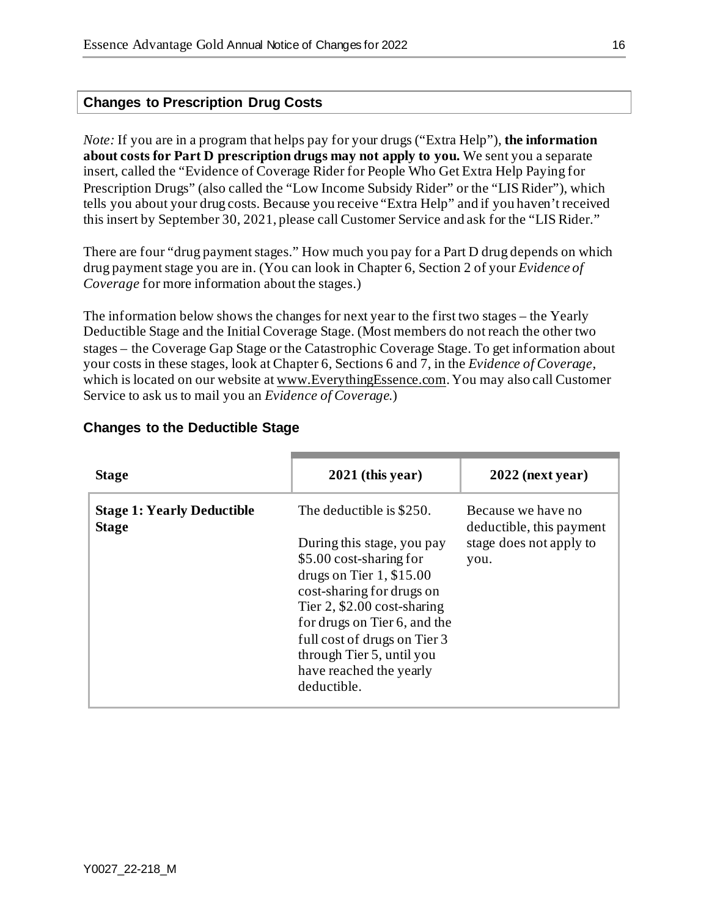#### **Changes to Prescription Drug Costs**

*Note:* If you are in a program that helps pay for your drugs ("Extra Help"), **the information about costs for Part D prescription drugs may not apply to you.** We sent you a separate insert, called the "Evidence of Coverage Rider for People Who Get Extra Help Paying for Prescription Drugs" (also called the "Low Income Subsidy Rider" or the "LIS Rider"), which tells you about your drug costs. Because you receive "Extra Help" and if you haven't received this insert by September 30, 2021, please call Customer Service and ask for the "LIS Rider."

There are four "drug payment stages." How much you pay for a Part D drug depends on which drug payment stage you are in. (You can look in Chapter 6, Section 2 of your *Evidence of Coverage* for more information about the stages.)

The information below shows the changes for next year to the first two stages – the Yearly Deductible Stage and the Initial Coverage Stage. (Most members do not reach the other two stages – the Coverage Gap Stage or the Catastrophic Coverage Stage. To get information about your costs in these stages, look at Chapter 6, Sections 6 and 7, in the *Evidence of Coverage*, which is located on our website a[t www.EverythingEssence.com](http://www.everythingessence.com/). You may also call Customer Service to ask us to mail you an *Evidence of Coverage*.)

| <b>Stage</b>                                      | $2021$ (this year)                                                                                                                                                                                                                                                                                                   | $2022$ (next year)                                                                |
|---------------------------------------------------|----------------------------------------------------------------------------------------------------------------------------------------------------------------------------------------------------------------------------------------------------------------------------------------------------------------------|-----------------------------------------------------------------------------------|
| <b>Stage 1: Yearly Deductible</b><br><b>Stage</b> | The deductible is \$250.<br>During this stage, you pay<br>\$5.00 cost-sharing for<br>drugs on Tier $1, $15.00$<br>cost-sharing for drugs on<br>Tier $2$ , \$2.00 cost-sharing<br>for drugs on Tier 6, and the<br>full cost of drugs on Tier 3<br>through Tier 5, until you<br>have reached the yearly<br>deductible. | Because we have no<br>deductible, this payment<br>stage does not apply to<br>you. |

#### **Changes to the Deductible Stage**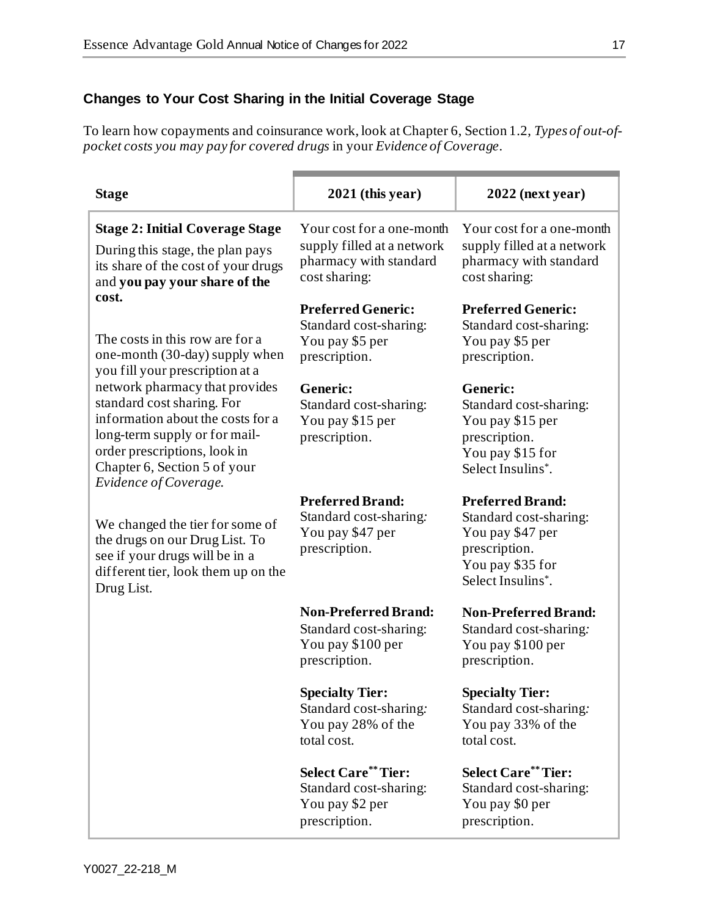# **Changes to Your Cost Sharing in the Initial Coverage Stage**

To learn how copayments and coinsurance work, look at Chapter 6, Section 1.2, *Types of out-ofpocket costs you may pay for covered drugs* in your *Evidence of Coverage*.

| <b>Stage</b>                                                                                                                                                                                                                                                                                                                                 | $2021$ (this year)                                                                                 | $2022$ (next year)                                                                                                              |
|----------------------------------------------------------------------------------------------------------------------------------------------------------------------------------------------------------------------------------------------------------------------------------------------------------------------------------------------|----------------------------------------------------------------------------------------------------|---------------------------------------------------------------------------------------------------------------------------------|
| <b>Stage 2: Initial Coverage Stage</b><br>During this stage, the plan pays<br>its share of the cost of your drugs<br>and you pay your share of the                                                                                                                                                                                           | Your cost for a one-month<br>supply filled at a network<br>pharmacy with standard<br>cost sharing: | Your cost for a one-month<br>supply filled at a network<br>pharmacy with standard<br>cost sharing:                              |
| cost.<br>The costs in this row are for a<br>one-month (30-day) supply when<br>you fill your prescription at a<br>network pharmacy that provides<br>standard cost sharing. For<br>information about the costs for a<br>long-term supply or for mail-<br>order prescriptions, look in<br>Chapter 6, Section 5 of your<br>Evidence of Coverage. | <b>Preferred Generic:</b><br>Standard cost-sharing:<br>You pay \$5 per<br>prescription.            | <b>Preferred Generic:</b><br>Standard cost-sharing:<br>You pay \$5 per<br>prescription.                                         |
|                                                                                                                                                                                                                                                                                                                                              | <b>Generic:</b><br>Standard cost-sharing:<br>You pay \$15 per<br>prescription.                     | Generic:<br>Standard cost-sharing:<br>You pay \$15 per<br>prescription.<br>You pay \$15 for<br>Select Insulins*.                |
| We changed the tier for some of<br>the drugs on our Drug List. To<br>see if your drugs will be in a<br>different tier, look them up on the<br>Drug List.                                                                                                                                                                                     | <b>Preferred Brand:</b><br>Standard cost-sharing:<br>You pay \$47 per<br>prescription.             | <b>Preferred Brand:</b><br>Standard cost-sharing:<br>You pay \$47 per<br>prescription.<br>You pay \$35 for<br>Select Insulins*. |
|                                                                                                                                                                                                                                                                                                                                              | <b>Non-Preferred Brand:</b><br>Standard cost-sharing:<br>You pay \$100 per<br>prescription.        | <b>Non-Preferred Brand:</b><br>Standard cost-sharing:<br>You pay \$100 per<br>prescription.                                     |
|                                                                                                                                                                                                                                                                                                                                              | <b>Specialty Tier:</b><br>Standard cost-sharing:<br>You pay 28% of the<br>total cost.              | <b>Specialty Tier:</b><br>Standard cost-sharing:<br>You pay 33% of the<br>total cost.                                           |
|                                                                                                                                                                                                                                                                                                                                              | <b>Select Care**Tier:</b><br>Standard cost-sharing:<br>You pay \$2 per<br>prescription.            | <b>Select Care** Tier:</b><br>Standard cost-sharing:<br>You pay \$0 per<br>prescription.                                        |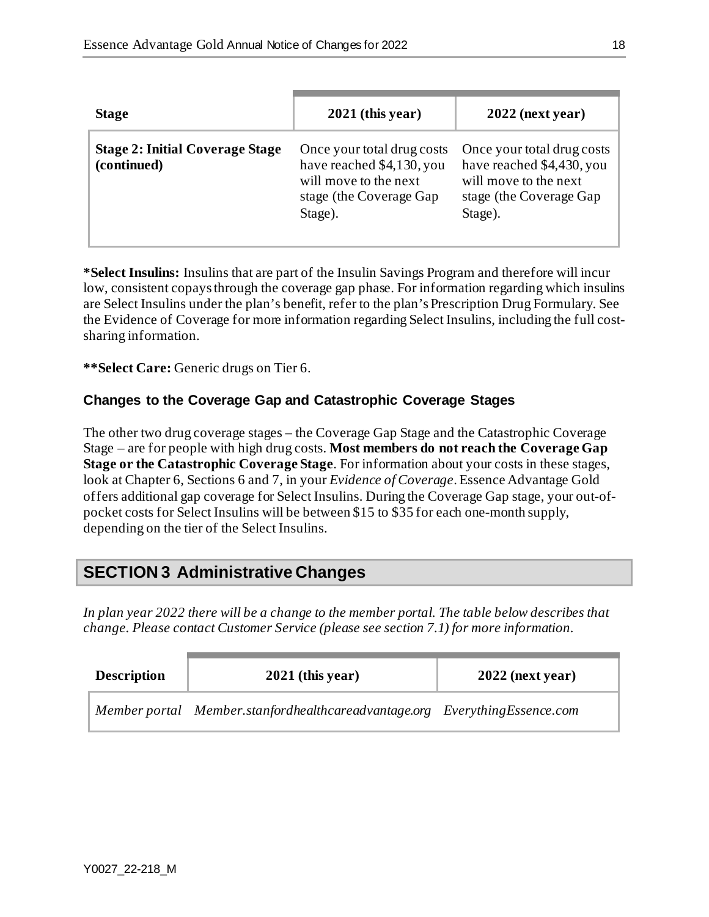| <b>Stage</b>                                          | $2021$ (this year)                                                                                                      | $2022$ (next year)                                                                                                      |
|-------------------------------------------------------|-------------------------------------------------------------------------------------------------------------------------|-------------------------------------------------------------------------------------------------------------------------|
| <b>Stage 2: Initial Coverage Stage</b><br>(continued) | Once your total drug costs<br>have reached \$4,130, you<br>will move to the next<br>stage (the Coverage Gap)<br>Stage). | Once your total drug costs<br>have reached \$4,430, you<br>will move to the next<br>stage (the Coverage Gap)<br>Stage). |

**\*Select Insulins:** Insulins that are part of the Insulin Savings Program and therefore will incur low, consistent copays through the coverage gap phase. For information regarding which insulins are Select Insulins under the plan's benefit, refer to the plan's Prescription Drug Formulary. See the Evidence of Coverage for more information regarding Select Insulins, including the full costsharing information.

**\*\*Select Care:** Generic drugs on Tier 6.

#### **Changes to the Coverage Gap and Catastrophic Coverage Stages**

The other two drug coverage stages – the Coverage Gap Stage and the Catastrophic Coverage Stage – are for people with high drug costs. **Most members do not reach the Coverage Gap Stage or the Catastrophic Coverage Stage**. For information about your costs in these stages, look at Chapter 6, Sections 6 and 7, in your *Evidence of Coverage*. Essence Advantage Gold offers additional gap coverage for Select Insulins. During the Coverage Gap stage, your out-ofpocket costs for Select Insulins will be between \$15 to \$35 for each one-month supply, depending on the tier of the Select Insulins.

# **SECTION 3 Administrative Changes**

*In plan year 2022 there will be a change to the member portal. The table below describes that change. Please contact Customer Service (please see section 7.1) for more information.* 

| <b>Description</b> | $2021$ (this year)                                                         | $2022$ (next year) |
|--------------------|----------------------------------------------------------------------------|--------------------|
|                    | Member portal Member.stanfordhealthcareadvantage.org EverythingEssence.com |                    |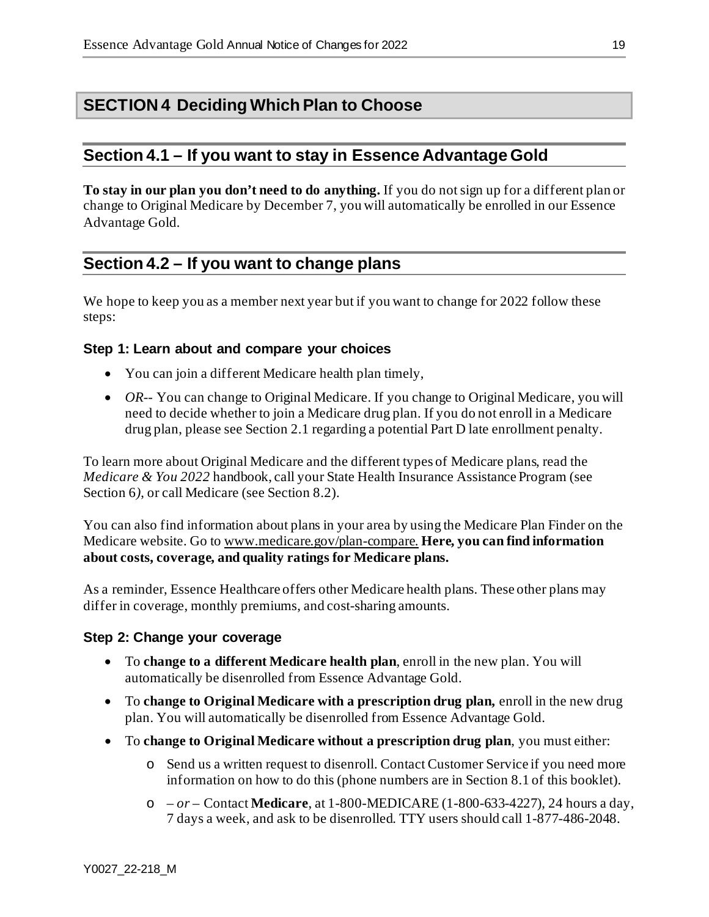# **SECTION 4 Deciding Which Plan to Choose**

## **Section 4.1 – If you want to stay in Essence Advantage Gold**

**To stay in our plan you don't need to do anything.** If you do not sign up for a different plan or change to Original Medicare by December 7, you will automatically be enrolled in our Essence Advantage Gold*.*

# **Section 4.2 – If you want to change plans**

We hope to keep you as a member next year but if you want to change for 2022 follow these steps:

#### **Step 1: Learn about and compare your choices**

- You can join a different Medicare health plan timely,
- *OR*-- You can change to Original Medicare. If you change to Original Medicare, you will need to decide whether to join a Medicare drug plan. If you do not enroll in a Medicare drug plan, please see Section 2.1 regarding a potential Part D late enrollment penalty.

To learn more about Original Medicare and the different types of Medicare plans, read the *Medicare & You 2022* handbook, call your State Health Insurance Assistance Program (see Section 6*)*, or call Medicare (see Section 8.2).

You can also find information about plans in your area by using the Medicare Plan Finder on the Medicare website. Go to [www.medicare.gov/plan-compare](http://www.medicare.gov/plan-compare). **Here, you can find information about costs, coverage, and quality ratings for Medicare plans.**

As a reminder, Essence Healthcare offers other Medicare health plans. These other plans may differ in coverage, monthly premiums, and cost-sharing amounts.

#### **Step 2: Change your coverage**

- To **change to a different Medicare health plan**, enroll in the new plan. You will automatically be disenrolled from Essence Advantage Gold.
- To **change to Original Medicare with a prescription drug plan,** enroll in the new drug plan. You will automatically be disenrolled from Essence Advantage Gold.
- To **change to Original Medicare without a prescription drug plan**, you must either:
	- o Send us a written request to disenroll. Contact Customer Service if you need more information on how to do this (phone numbers are in Section 8.1 of this booklet).
	- o *– or –* Contact **Medicare**, at 1-800-MEDICARE (1-800-633-4227), 24 hours a day, 7 days a week, and ask to be disenrolled. TTY users should call 1-877-486-2048.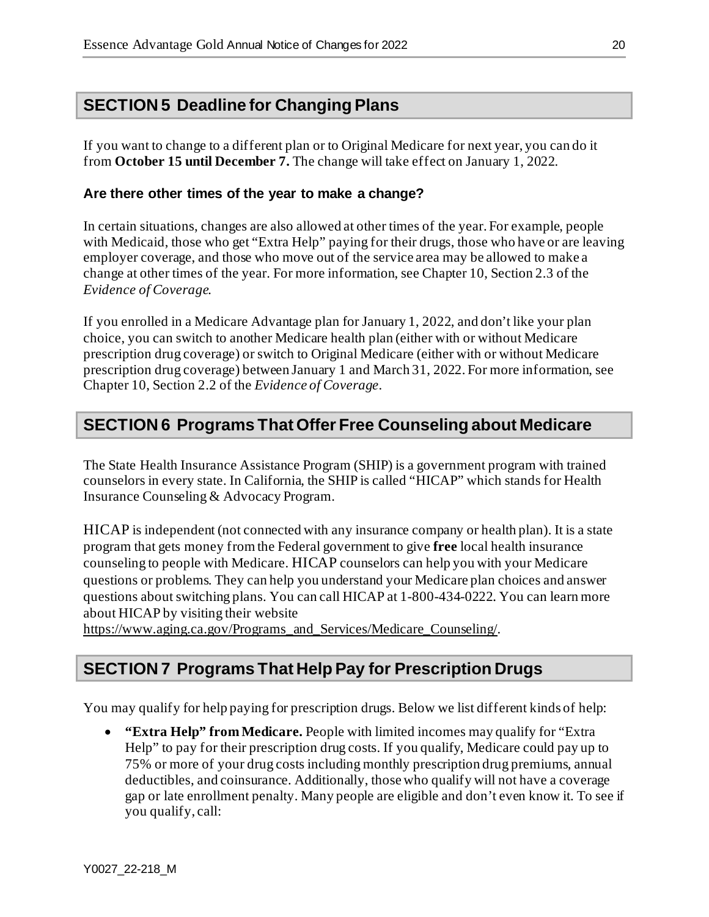If you want to change to a different plan or to Original Medicare for next year, you can do it from **October 15 until December 7.** The change will take effect on January 1, 2022.

#### **Are there other times of the year to make a change?**

In certain situations, changes are also allowed at other times of the year. For example, people with Medicaid, those who get "Extra Help" paying for their drugs, those who have or are leaving employer coverage, and those who move out of the service area may be allowed to make a change at other times of the year. For more information, see Chapter 10, Section 2.3 of the *Evidence of Coverage.*

If you enrolled in a Medicare Advantage plan for January 1, 2022, and don't like your plan choice, you can switch to another Medicare health plan (either with or without Medicare prescription drug coverage) or switch to Original Medicare (either with or without Medicare prescription drug coverage) between January 1 and March 31, 2022. For more information, see Chapter 10, Section 2.2 of the *Evidence of Coverage*.

# **SECTION 6 Programs That Offer Free Counseling about Medicare**

The State Health Insurance Assistance Program (SHIP) is a government program with trained counselors in every state. In California, the SHIP is called "HICAP" which stands for Health Insurance Counseling & Advocacy Program.

HICAP is independent (not connected with any insurance company or health plan). It is a state program that gets money from the Federal government to give **free** local health insurance counseling to people with Medicare. HICAP counselors can help you with your Medicare questions or problems. They can help you understand your Medicare plan choices and answer questions about switching plans. You can call HICAP at 1-800-434-0222. You can learn more about HICAP by visiting their website

[https://www.aging.ca.gov/Programs\\_and\\_Services/Medicare\\_Counseling/.](https://www.aging.ca.gov/Programs_and_Services/Medicare_Counseling/)

# **SECTION 7 Programs That Help Pay for Prescription Drugs**

You may qualify for help paying for prescription drugs. Below we list different kinds of help:

• **"Extra Help" from Medicare.** People with limited incomes may qualify for "Extra Help" to pay for their prescription drug costs. If you qualify, Medicare could pay up to 75% or more of your drug costs including monthly prescription drug premiums, annual deductibles, and coinsurance. Additionally, those who qualify will not have a coverage gap or late enrollment penalty. Many people are eligible and don't even know it. To see if you qualify, call: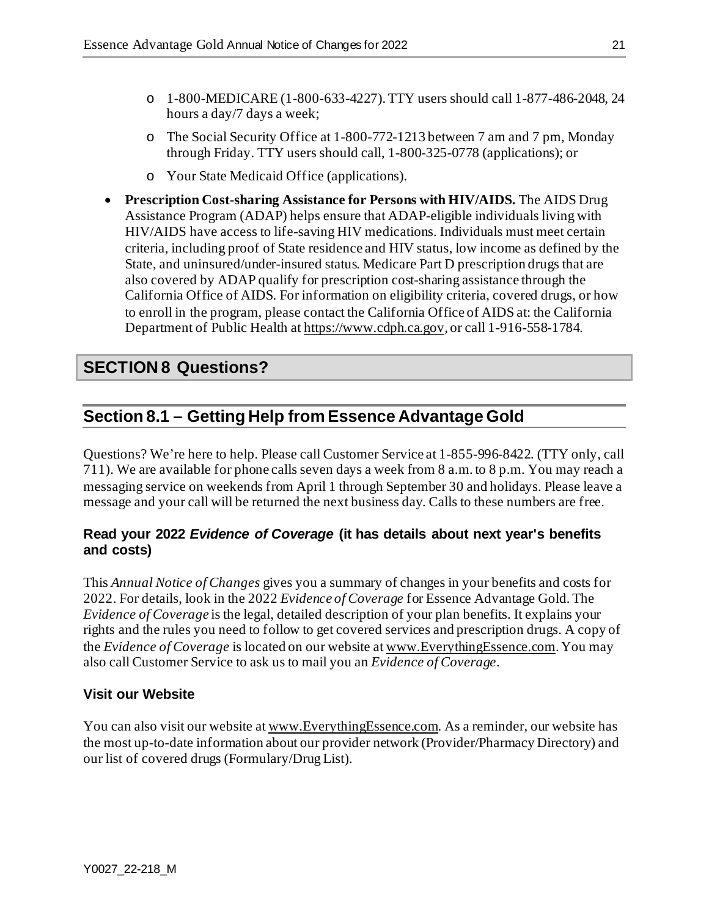- o 1-800-MEDICARE (1-800-633-4227). TTY users should call 1-877-486-2048, 24 hours a day/7 days a week;
- o The Social Security Office at 1-800-772-1213 between 7 am and 7 pm, Monday through Friday. TTY users should call, 1-800-325-0778 (applications); or
- o Your State Medicaid Office (applications).
- **Prescription Cost-sharing Assistance for Persons with HIV/AIDS.** The AIDS Drug Assistance Program (ADAP) helps ensure that ADAP-eligible individuals living with HIV/AIDS have access to life-saving HIV medications. Individuals must meet certain criteria, including proof of State residence and HIV status, low income as defined by the State, and uninsured/under-insured status. Medicare Part D prescription drugs that are also covered by ADAP qualify for prescription cost-sharing assistance through the California Office of AIDS*.* For information on eligibility criteria, covered drugs, or how to enroll in the program, please contact the California Office of AIDS at: the California Department of Public Health a[t https://www.cdph.ca.gov](https://www.cdph.ca.gov/)*,* or call 1-916-558-1784.

# **SECTION 8 Questions?**

# **Section 8.1 – Getting Help from Essence Advantage Gold**

Questions? We're here to help. Please call Customer Service at 1-855-996-8422. (TTY only, call 711). We are available for phone calls seven days a week from 8 a.m. to 8 p.m. You may reach a messaging service on weekends from April 1 through September 30 and holidays. Please leave a message and your call will be returned the next business day. Calls to these numbers are free.

#### **Read your 2022** *Evidence of Coverage* **(it has details about next year's benefits and costs)**

This *Annual Notice of Changes* gives you a summary of changes in your benefits and costs for 2022. For details, look in the 2022 *Evidence of Coverage* for Essence Advantage Gold*.* The *Evidence of Coverage* is the legal, detailed description of your plan benefits. It explains your rights and the rules you need to follow to get covered services and prescription drugs. A copy of the *Evidence of Coverage* is located on our website a[t www.EverythingEssence.com](http://www.everythingessence.com/). You may also call Customer Service to ask us to mail you an *Evidence of Coverage*.

### **Visit our Website**

You can also visit our website a[t www.EverythingEssence.com.](http://www.everythingessence.com/) As a reminder, our website has the most up-to-date information about our provider network (Provider/Pharmacy Directory) and our list of covered drugs (Formulary/Drug List).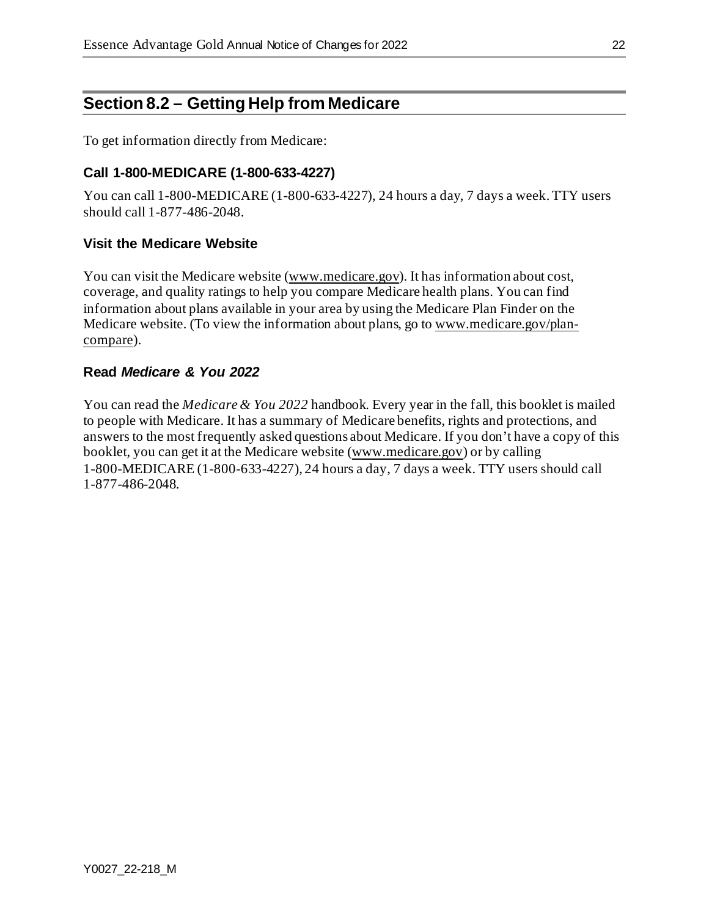# **Section 8.2 – Getting Help from Medicare**

To get information directly from Medicare:

#### **Call 1-800-MEDICARE (1-800-633-4227)**

You can call 1-800-MEDICARE (1-800-633-4227), 24 hours a day, 7 days a week. TTY users should call 1-877-486-2048.

#### **Visit the Medicare Website**

You can visit the Medicare website [\(www.medicare.gov\)](http://www.medicare.gov/). It has information about cost, coverage, and quality ratings to help you compare Medicare health plans. You can find information about plans available in your area by using the Medicare Plan Finder on the Medicare website. (To view the information about plans, go t[o www.medicare.gov/plan](http://www.medicare.gov/plan-compare)[compare\)](http://www.medicare.gov/plan-compare).

#### **Read** *Medicare & You 2022*

You can read the *Medicare & You 2022* handbook. Every year in the fall, this booklet is mailed to people with Medicare. It has a summary of Medicare benefits, rights and protections, and answers to the most frequently asked questions about Medicare. If you don't have a copy of this booklet, you can get it at the Medicare website [\(www.medicare.gov](https://www.medicare.gov/)) or by calling 1-800-MEDICARE (1-800-633-4227), 24 hours a day, 7 days a week. TTY users should call 1-877-486-2048.